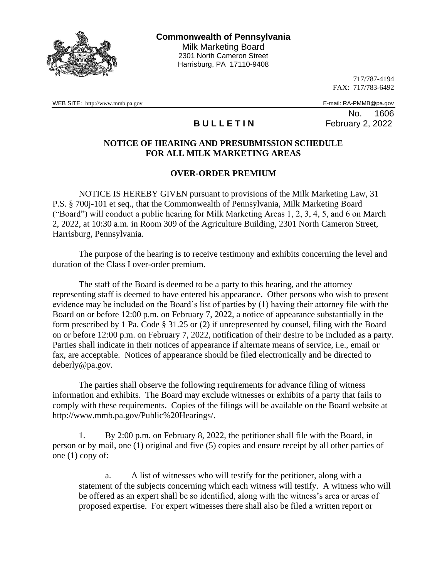

717/787-4194 FAX: 717/783-6492

WEB SITE: http://www.mmb.pa.gov E-mail: RA-PMMB@pa.gov

No. 1606 **B U L L E T I N** February 2, 2022

## **NOTICE OF HEARING AND PRESUBMISSION SCHEDULE FOR ALL MILK MARKETING AREAS**

## **OVER-ORDER PREMIUM**

NOTICE IS HEREBY GIVEN pursuant to provisions of the Milk Marketing Law, 31 P.S. § 700j-101 et seq., that the Commonwealth of Pennsylvania, Milk Marketing Board ("Board") will conduct a public hearing for Milk Marketing Areas 1, 2, 3, 4, 5, and 6 on March 2, 2022, at 10:30 a.m. in Room 309 of the Agriculture Building, 2301 North Cameron Street, Harrisburg, Pennsylvania.

The purpose of the hearing is to receive testimony and exhibits concerning the level and duration of the Class I over-order premium.

The staff of the Board is deemed to be a party to this hearing, and the attorney representing staff is deemed to have entered his appearance. Other persons who wish to present evidence may be included on the Board's list of parties by (1) having their attorney file with the Board on or before 12:00 p.m. on February 7, 2022, a notice of appearance substantially in the form prescribed by 1 Pa. Code § 31.25 or (2) if unrepresented by counsel, filing with the Board on or before 12:00 p.m. on February 7, 2022, notification of their desire to be included as a party. Parties shall indicate in their notices of appearance if alternate means of service, i.e., email or fax, are acceptable. Notices of appearance should be filed electronically and be directed to deberly@pa.gov.

The parties shall observe the following requirements for advance filing of witness information and exhibits. The Board may exclude witnesses or exhibits of a party that fails to comply with these requirements. Copies of the filings will be available on the Board website at http://www.mmb.pa.gov/Public%20Hearings/.

1. By 2:00 p.m. on February 8, 2022, the petitioner shall file with the Board, in person or by mail, one (1) original and five (5) copies and ensure receipt by all other parties of one (1) copy of:

a. A list of witnesses who will testify for the petitioner, along with a statement of the subjects concerning which each witness will testify. A witness who will be offered as an expert shall be so identified, along with the witness's area or areas of proposed expertise. For expert witnesses there shall also be filed a written report or